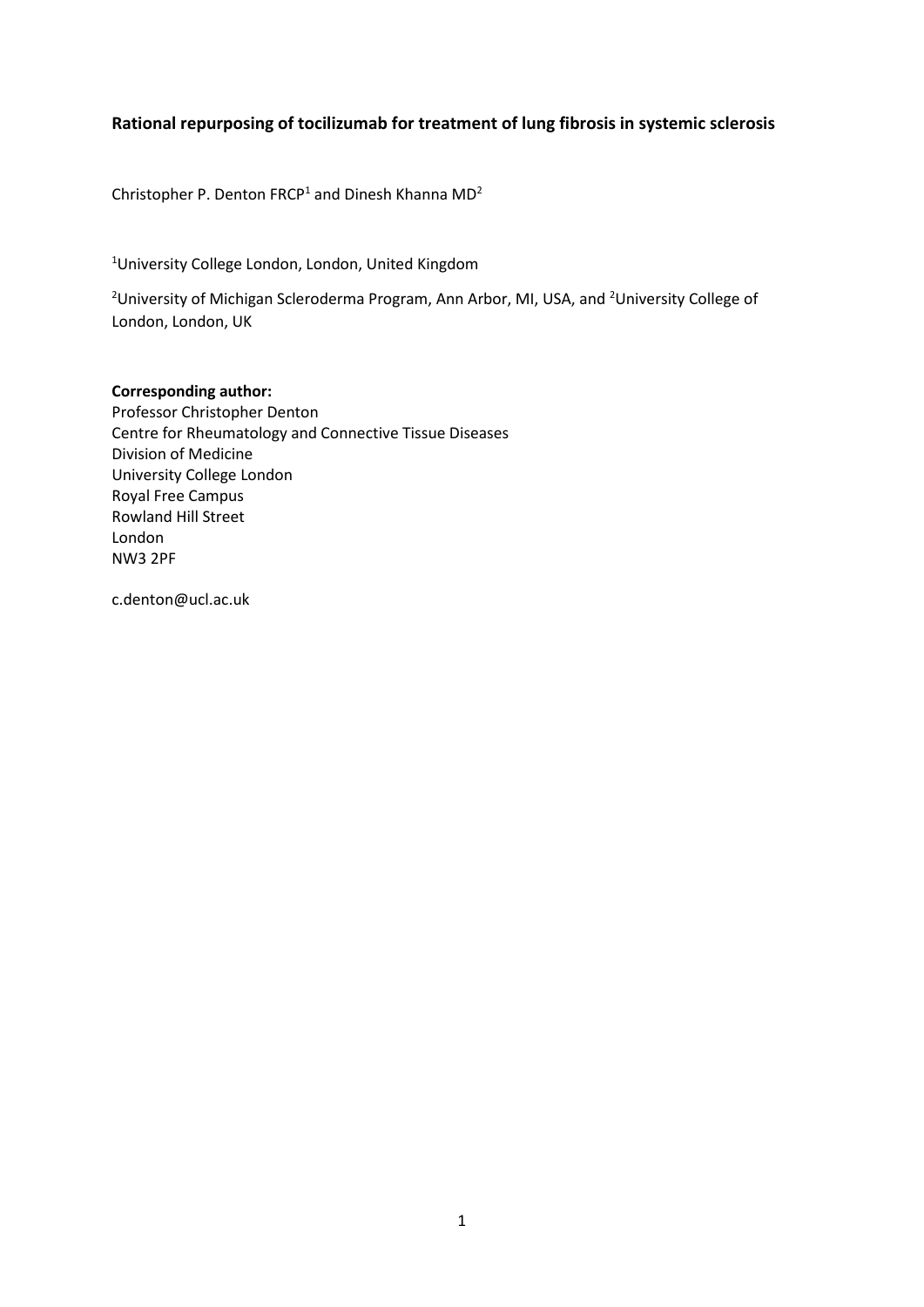## **Rational repurposing of tocilizumab for treatment of lung fibrosis in systemic sclerosis**

Christopher P. Denton FRCP<sup>1</sup> and Dinesh Khanna  $MD<sup>2</sup>$ 

<sup>1</sup>University College London, London, United Kingdom

<sup>2</sup>University of Michigan Scleroderma Program, Ann Arbor, MI, USA, and <sup>2</sup>University College of London, London, UK

## **Corresponding author:**

Professor Christopher Denton Centre for Rheumatology and Connective Tissue Diseases Division of Medicine University College London Royal Free Campus Rowland Hill Street London NW3 2PF

c.denton@ucl.ac.uk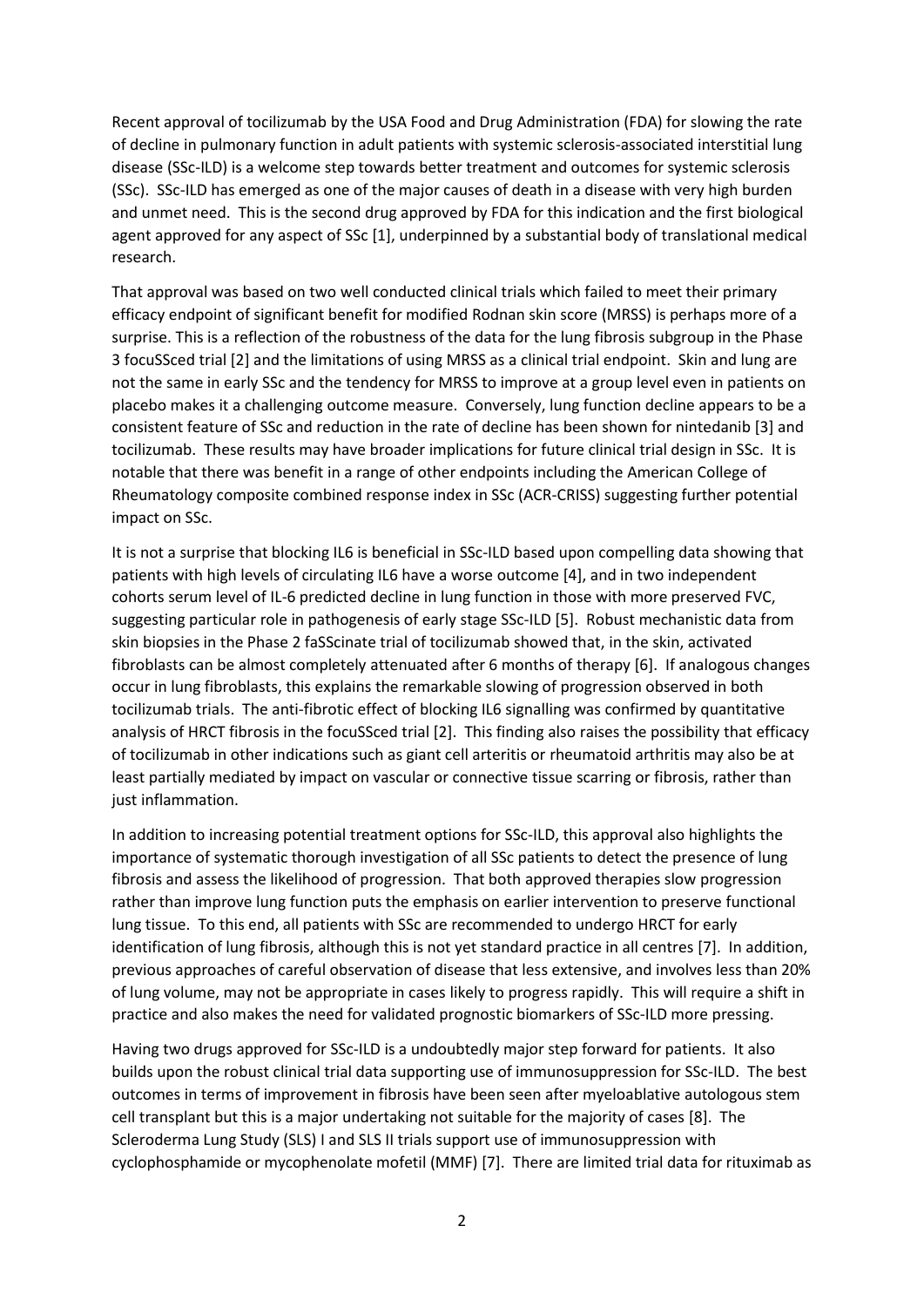Recent approval of tocilizumab by the USA Food and Drug Administration (FDA) for slowing the rate of decline in pulmonary function in adult patients with systemic sclerosis-associated interstitial lung disease (SSc-ILD) is a welcome step towards better treatment and outcomes for systemic sclerosis (SSc). SSc-ILD has emerged as one of the major causes of death in a disease with very high burden and unmet need. This is the second drug approved by FDA for this indication and the first biological agent approved for any aspect of SSc [1], underpinned by a substantial body of translational medical research.

That approval was based on two well conducted clinical trials which failed to meet their primary efficacy endpoint of significant benefit for modified Rodnan skin score (MRSS) is perhaps more of a surprise. This is a reflection of the robustness of the data for the lung fibrosis subgroup in the Phase 3 focuSSced trial [2] and the limitations of using MRSS as a clinical trial endpoint. Skin and lung are not the same in early SSc and the tendency for MRSS to improve at a group level even in patients on placebo makes it a challenging outcome measure. Conversely, lung function decline appears to be a consistent feature of SSc and reduction in the rate of decline has been shown for nintedanib [3] and tocilizumab. These results may have broader implications for future clinical trial design in SSc. It is notable that there was benefit in a range of other endpoints including the American College of Rheumatology composite combined response index in SSc (ACR-CRISS) suggesting further potential impact on SSc.

It is not a surprise that blocking IL6 is beneficial in SSc-ILD based upon compelling data showing that patients with high levels of circulating IL6 have a worse outcome [4], and in two independent cohorts serum level of IL-6 predicted decline in lung function in those with more preserved FVC, suggesting particular role in pathogenesis of early stage SSc-ILD [5]. Robust mechanistic data from skin biopsies in the Phase 2 faSScinate trial of tocilizumab showed that, in the skin, activated fibroblasts can be almost completely attenuated after 6 months of therapy [6]. If analogous changes occur in lung fibroblasts, this explains the remarkable slowing of progression observed in both tocilizumab trials. The anti-fibrotic effect of blocking IL6 signalling was confirmed by quantitative analysis of HRCT fibrosis in the focuSSced trial [2]. This finding also raises the possibility that efficacy of tocilizumab in other indications such as giant cell arteritis or rheumatoid arthritis may also be at least partially mediated by impact on vascular or connective tissue scarring or fibrosis, rather than just inflammation.

In addition to increasing potential treatment options for SSc-ILD, this approval also highlights the importance of systematic thorough investigation of all SSc patients to detect the presence of lung fibrosis and assess the likelihood of progression. That both approved therapies slow progression rather than improve lung function puts the emphasis on earlier intervention to preserve functional lung tissue. To this end, all patients with SSc are recommended to undergo HRCT for early identification of lung fibrosis, although this is not yet standard practice in all centres [7]. In addition, previous approaches of careful observation of disease that less extensive, and involves less than 20% of lung volume, may not be appropriate in cases likely to progress rapidly. This will require a shift in practice and also makes the need for validated prognostic biomarkers of SSc-ILD more pressing.

Having two drugs approved for SSc-ILD is a undoubtedly major step forward for patients. It also builds upon the robust clinical trial data supporting use of immunosuppression for SSc-ILD. The best outcomes in terms of improvement in fibrosis have been seen after myeloablative autologous stem cell transplant but this is a major undertaking not suitable for the majority of cases [8]. The Scleroderma Lung Study (SLS) I and SLS II trials support use of immunosuppression with cyclophosphamide or mycophenolate mofetil (MMF) [7]. There are limited trial data for rituximab as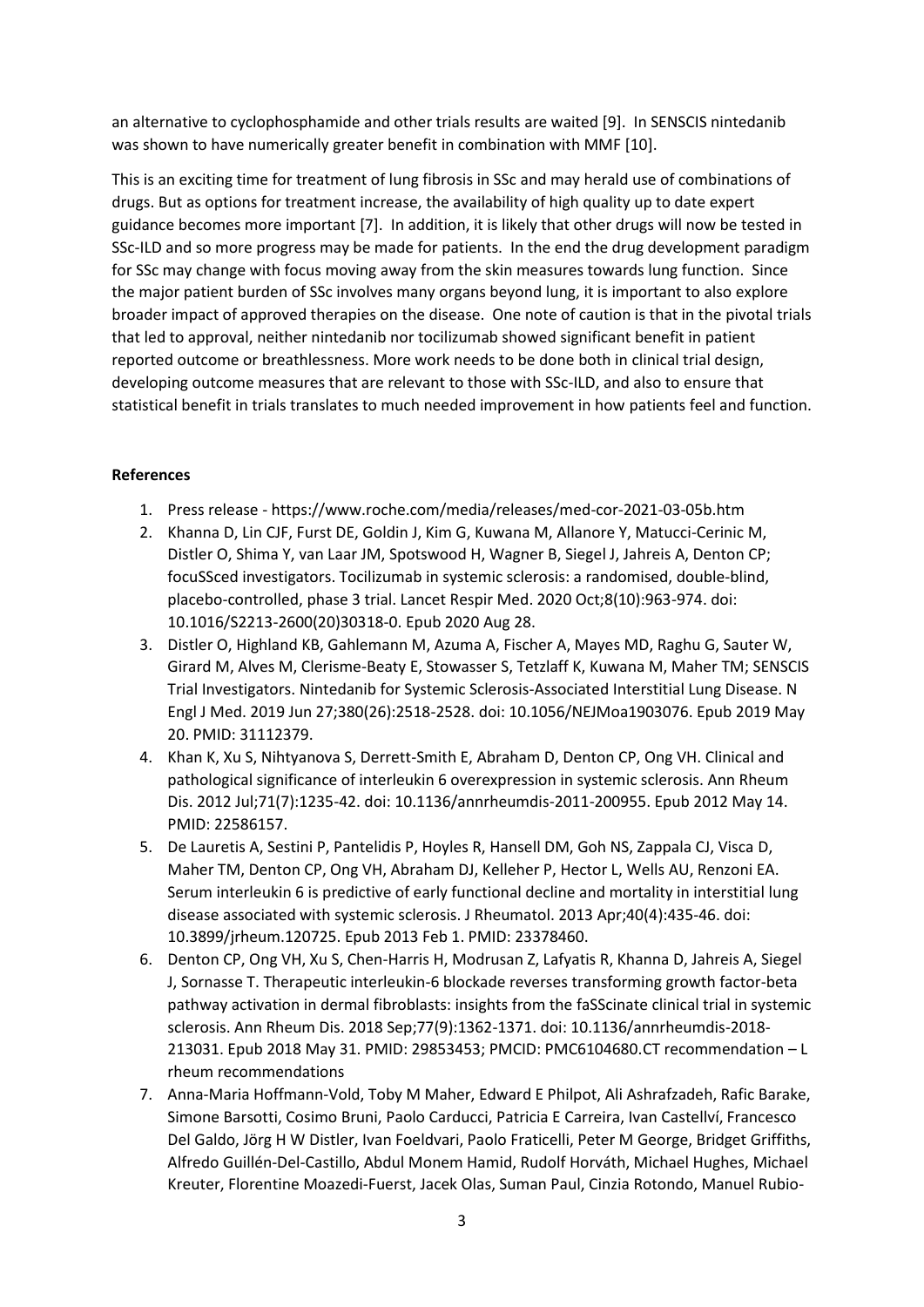an alternative to cyclophosphamide and other trials results are waited [9]. In SENSCIS nintedanib was shown to have numerically greater benefit in combination with MMF [10].

This is an exciting time for treatment of lung fibrosis in SSc and may herald use of combinations of drugs. But as options for treatment increase, the availability of high quality up to date expert guidance becomes more important [7]. In addition, it is likely that other drugs will now be tested in SSc-ILD and so more progress may be made for patients. In the end the drug development paradigm for SSc may change with focus moving away from the skin measures towards lung function. Since the major patient burden of SSc involves many organs beyond lung, it is important to also explore broader impact of approved therapies on the disease. One note of caution is that in the pivotal trials that led to approval, neither nintedanib nor tocilizumab showed significant benefit in patient reported outcome or breathlessness. More work needs to be done both in clinical trial design, developing outcome measures that are relevant to those with SSc-ILD, and also to ensure that statistical benefit in trials translates to much needed improvement in how patients feel and function.

## **References**

- 1. Press release https://www.roche.com/media/releases/med-cor-2021-03-05b.htm
- 2. Khanna D, Lin CJF, Furst DE, Goldin J, Kim G, Kuwana M, Allanore Y, Matucci-Cerinic M, Distler O, Shima Y, van Laar JM, Spotswood H, Wagner B, Siegel J, Jahreis A, Denton CP; focuSSced investigators. Tocilizumab in systemic sclerosis: a randomised, double-blind, placebo-controlled, phase 3 trial. Lancet Respir Med. 2020 Oct;8(10):963-974. doi: 10.1016/S2213-2600(20)30318-0. Epub 2020 Aug 28.
- 3. Distler O, Highland KB, Gahlemann M, Azuma A, Fischer A, Mayes MD, Raghu G, Sauter W, Girard M, Alves M, Clerisme-Beaty E, Stowasser S, Tetzlaff K, Kuwana M, Maher TM; SENSCIS Trial Investigators. Nintedanib for Systemic Sclerosis-Associated Interstitial Lung Disease. N Engl J Med. 2019 Jun 27;380(26):2518-2528. doi: 10.1056/NEJMoa1903076. Epub 2019 May 20. PMID: 31112379.
- 4. Khan K, Xu S, Nihtyanova S, Derrett-Smith E, Abraham D, Denton CP, Ong VH. Clinical and pathological significance of interleukin 6 overexpression in systemic sclerosis. Ann Rheum Dis. 2012 Jul;71(7):1235-42. doi: 10.1136/annrheumdis-2011-200955. Epub 2012 May 14. PMID: 22586157.
- 5. De Lauretis A, Sestini P, Pantelidis P, Hoyles R, Hansell DM, Goh NS, Zappala CJ, Visca D, Maher TM, Denton CP, Ong VH, Abraham DJ, Kelleher P, Hector L, Wells AU, Renzoni EA. Serum interleukin 6 is predictive of early functional decline and mortality in interstitial lung disease associated with systemic sclerosis. J Rheumatol. 2013 Apr;40(4):435-46. doi: 10.3899/jrheum.120725. Epub 2013 Feb 1. PMID: 23378460.
- 6. Denton CP, Ong VH, Xu S, Chen-Harris H, Modrusan Z, Lafyatis R, Khanna D, Jahreis A, Siegel J, Sornasse T. Therapeutic interleukin-6 blockade reverses transforming growth factor-beta pathway activation in dermal fibroblasts: insights from the faSScinate clinical trial in systemic sclerosis. Ann Rheum Dis. 2018 Sep;77(9):1362-1371. doi: 10.1136/annrheumdis-2018- 213031. Epub 2018 May 31. PMID: 29853453; PMCID: PMC6104680.CT recommendation – L rheum recommendations
- 7. Anna-Maria Hoffmann-Vold, Toby M Maher, Edward E Philpot, Ali Ashrafzadeh, Rafic Barake, Simone Barsotti, Cosimo Bruni, Paolo Carducci, Patricia E Carreira, Ivan Castellví, Francesco Del Galdo, Jörg H W Distler, Ivan Foeldvari, Paolo Fraticelli, Peter M George, Bridget Griffiths, Alfredo Guillén-Del-Castillo, Abdul Monem Hamid, Rudolf Horváth, Michael Hughes, Michael Kreuter, Florentine Moazedi-Fuerst, Jacek Olas, Suman Paul, Cinzia Rotondo, Manuel Rubio-